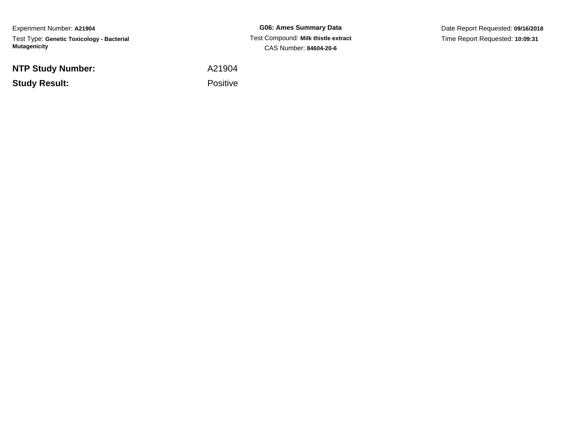Experiment Number: **A21904**Test Type: **Genetic Toxicology - Bacterial Mutagenicity**

**NTP Study Number:**

**Study Result:**

**G06: Ames Summary Data** Test Compound: **Milk thistle extract**CAS Number: **84604-20-6**

Date Report Requested: **09/16/2018**Time Report Requested: **10:09:31**

A21904

Positive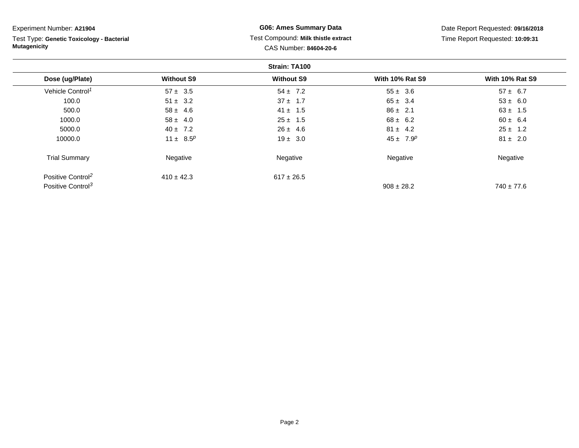| Experiment Number: A21904                                        |                                     | <b>G06: Ames Summary Data</b> |                        | Date Report Requested: 09/16/2018 |  |  |  |  |
|------------------------------------------------------------------|-------------------------------------|-------------------------------|------------------------|-----------------------------------|--|--|--|--|
| Test Type: Genetic Toxicology - Bacterial<br><b>Mutagenicity</b> | Test Compound: Milk thistle extract |                               |                        | Time Report Requested: 10:09:31   |  |  |  |  |
|                                                                  |                                     | CAS Number: 84604-20-6        |                        |                                   |  |  |  |  |
| Strain: TA100                                                    |                                     |                               |                        |                                   |  |  |  |  |
| Dose (ug/Plate)                                                  | <b>Without S9</b>                   | <b>Without S9</b>             | <b>With 10% Rat S9</b> | <b>With 10% Rat S9</b>            |  |  |  |  |
| Vehicle Control <sup>1</sup>                                     | $57 \pm 3.5$                        | $54 \pm 7.2$                  | $55 \pm 3.6$           | $57 \pm 6.7$                      |  |  |  |  |
| 100.0                                                            | $51 \pm 3.2$                        | $37 \pm 1.7$                  | $65 \pm 3.4$           | $53 \pm 6.0$                      |  |  |  |  |
| 500.0                                                            | $58 \pm 4.6$                        | $41 \pm 1.5$                  | $86 \pm 2.1$           | $63 \pm 1.5$                      |  |  |  |  |
| 1000.0                                                           | $58 \pm 4.0$                        | $25 \pm 1.5$                  | $68 \pm 6.2$           | $60 \pm 6.4$                      |  |  |  |  |
| 5000.0                                                           | $40 \pm 7.2$                        | $26 \pm 4.6$                  | $81 \pm 4.2$           | $25 \pm 1.2$                      |  |  |  |  |
| 10000.0                                                          | 11 ± $8.5^p$                        | $19 \pm 3.0$                  | $45 \pm 7.9^p$         | $81 \pm 2.0$                      |  |  |  |  |
| <b>Trial Summary</b>                                             | Negative                            | Negative                      | Negative               | Negative                          |  |  |  |  |
| Positive Control <sup>2</sup>                                    | $410 \pm 42.3$                      | $617 \pm 26.5$                |                        |                                   |  |  |  |  |
| Positive Control <sup>3</sup>                                    |                                     |                               | $908 \pm 28.2$         | $740 \pm 77.6$                    |  |  |  |  |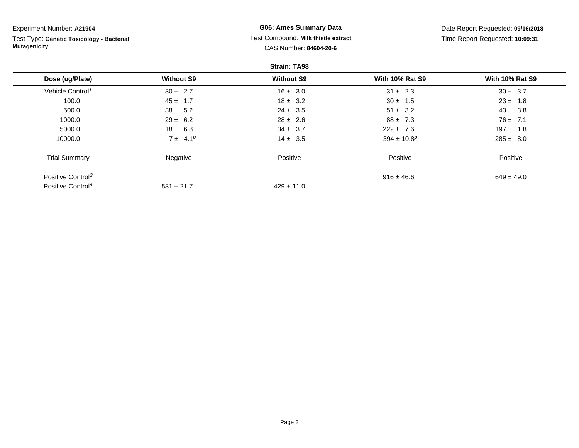| Experiment Number: A21904                                        |                   | <b>G06: Ames Summary Data</b>                                 |                             | Date Report Requested: 09/16/2018 |  |
|------------------------------------------------------------------|-------------------|---------------------------------------------------------------|-----------------------------|-----------------------------------|--|
| Test Type: Genetic Toxicology - Bacterial<br><b>Mutagenicity</b> |                   | Test Compound: Milk thistle extract<br>CAS Number: 84604-20-6 |                             | Time Report Requested: 10:09:31   |  |
|                                                                  |                   | <b>Strain: TA98</b>                                           |                             |                                   |  |
| Dose (ug/Plate)                                                  | <b>Without S9</b> | <b>Without S9</b>                                             | <b>With 10% Rat S9</b>      | <b>With 10% Rat S9</b>            |  |
| Vehicle Control <sup>1</sup>                                     | $30 \pm 2.7$      | $16 \pm 3.0$                                                  | $31 \pm 2.3$                | $30 \pm 3.7$                      |  |
| 100.0                                                            | $45 \pm 1.7$      | $18 \pm 3.2$                                                  | $30 \pm 1.5$                | $23 \pm 1.8$                      |  |
| 500.0                                                            | $38 \pm 5.2$      | $24 \pm 3.5$                                                  | $51 \pm 3.2$                | $43 \pm 3.8$                      |  |
| 1000.0                                                           | $29 \pm 6.2$      | $28 \pm 2.6$                                                  | $88 \pm 7.3$                | $76 \pm 7.1$                      |  |
| 5000.0                                                           | $18 \pm 6.8$      | $34 \pm 3.7$                                                  | $222 \pm 7.6$               | $197 \pm 1.8$                     |  |
| 10000.0                                                          | $7 \pm 4.1^p$     | $14 \pm 3.5$                                                  | $394 \pm 10.8$ <sup>p</sup> | $285 \pm 8.0$                     |  |
| <b>Trial Summary</b>                                             | Negative          | Positive                                                      | Positive                    | Positive                          |  |
| Positive Control <sup>3</sup>                                    |                   |                                                               | $916 \pm 46.6$              | $649 \pm 49.0$                    |  |
| Positive Control <sup>4</sup>                                    | $531 \pm 21.7$    | $429 \pm 11.0$                                                |                             |                                   |  |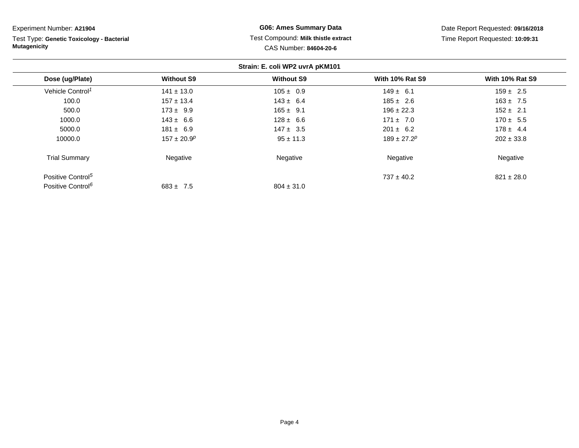**Strain: E. coli WP2 uvrA pKM101Dose (ug/Plate) Without S9 Without S9 With 10% Rat S9 With 10% Rat S9** Vehicle Control<sup>1</sup>  $141 \pm 13.0$ 0 105 ± 0.9 105  $\pm 0.9$  149 ± 6.1 159 ± 2.5 100.00 157 ± 13.4 143 ± 6.4 143  $\pm$  6.4 185 ± 2.6 163 ± 7.5 500.00 173 ±  $9.9$  165 ±  $9.1$  196 ± 22.3 152 ± 2.1 1000.00 143 ± 6.6 128 ± 6.6 128 = 171 ± 7.0 170 ± 5.5 5000.00 181 ± 6.9 181 + 6.9 147 ± 3.5 201 ± 6.2 178 ± 4.4 10000.00  $157 \pm 20.9^p$   $95 \pm 11.3$   $189 \pm 27.2^p$   $202 \pm 33.8$ Trial Summary Negativee metal distribution of the settlement of the settlement of the Negative and Negative Negative Positive Control<sup>5</sup>  $737 \pm 40.2$  $737 \pm 40.2$  821  $\pm 28.0$ Positive Control<sup>6</sup>  $683 \pm 7.5$  $804 \pm 31.0$ Experiment Number: **A21904**Test Type: **Genetic Toxicology - BacterialMutagenicityG06: Ames Summary Data** Test Compound: **Milk thistle extract**CAS Number: **84604-20-6**Date Report Requested: **09/16/2018**Time Report Requested: **10:09:31**